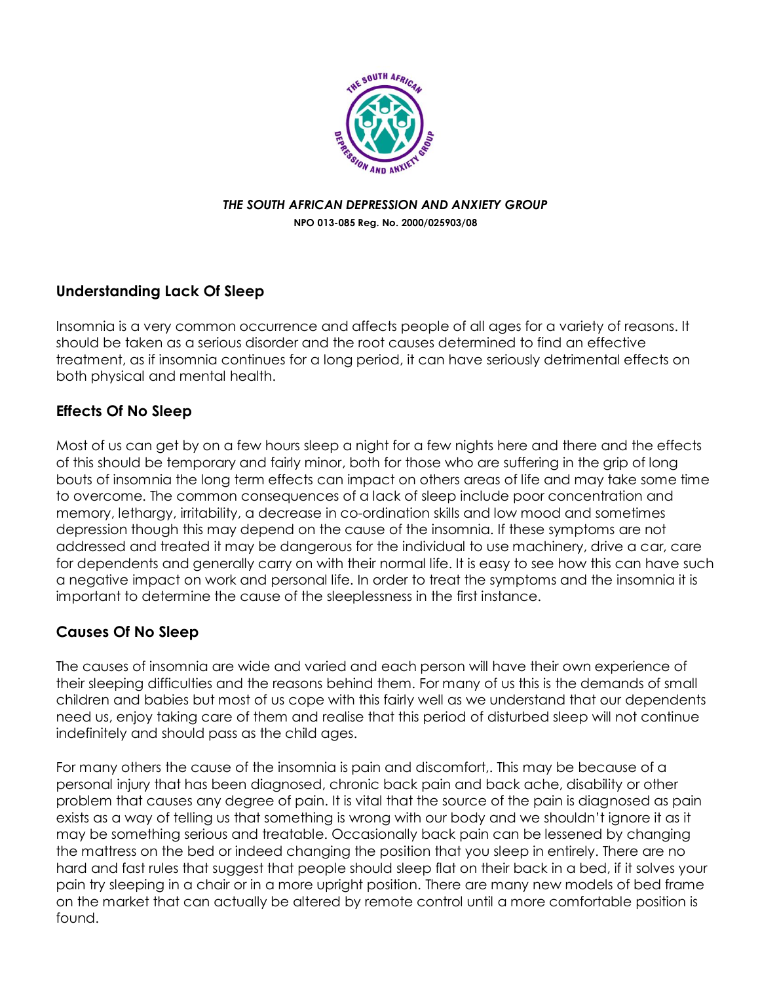

## *THE SOUTH AFRICAN DEPRESSION AND ANXIETY GROUP* **NPO 013-085 Reg. No. 2000/025903/08**

## **Understanding Lack Of Sleep**

Insomnia is a very common occurrence and affects people of all ages for a variety of reasons. It should be taken as a serious disorder and the root causes determined to find an effective treatment, as if insomnia continues for a long period, it can have seriously detrimental effects on both physical and mental health.

## **Effects Of No Sleep**

Most of us can get by on a few hours sleep a night for a few nights here and there and the effects of this should be temporary and fairly minor, both for those who are suffering in the grip of long bouts of insomnia the long term effects can impact on others areas of life and may take some time to overcome. The common consequences of a lack of sleep include poor concentration and memory, lethargy, irritability, a decrease in co-ordination skills and low mood and sometimes depression though this may depend on the cause of the insomnia. If these symptoms are not addressed and treated it may be dangerous for the individual to use machinery, drive a car, care for dependents and generally carry on with their normal life. It is easy to see how this can have such a negative impact on work and personal life. In order to treat the symptoms and the insomnia it is important to determine the cause of the sleeplessness in the first instance.

## **Causes Of No Sleep**

The causes of insomnia are wide and varied and each person will have their own experience of their sleeping difficulties and the reasons behind them. For many of us this is the demands of small children and babies but most of us cope with this fairly well as we understand that our dependents need us, enjoy taking care of them and realise that this period of disturbed sleep will not continue indefinitely and should pass as the child ages.

For many others the cause of the insomnia is pain and discomfort,. This may be because of a personal injury that has been diagnosed, chronic back pain and back ache, disability or other problem that causes any degree of pain. It is vital that the source of the pain is diagnosed as pain exists as a way of telling us that something is wrong with our body and we shouldn't ignore it as it may be something serious and treatable. Occasionally back pain can be lessened by changing the mattress on the bed or indeed changing the position that you sleep in entirely. There are no hard and fast rules that suggest that people should sleep flat on their back in a bed, if it solves your pain try sleeping in a chair or in a more upright position. There are many new models of bed frame on the market that can actually be altered by remote control until a more comfortable position is found.